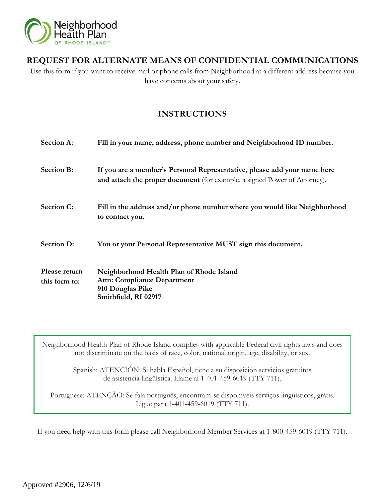

# **REQUEST FOR ALTERNATE MEANS OF CONFIDENTIAL COMMUNICATIONS**

Use this form if you want to receive mail or phone calls from Neighborhood at a different address because you have concerns about your safety.

# **INSTRUCTIONS**

| <b>Section A:</b>              | Fill in your name, address, phone number and Neighborhood ID number.                                                                                  |
|--------------------------------|-------------------------------------------------------------------------------------------------------------------------------------------------------|
| <b>Section B:</b>              | If you are a member's Personal Representative, please add your name here<br>and attach the proper document (for example, a signed Power of Attorney). |
| <b>Section C:</b>              | Fill in the address and/or phone number where you would like Neighborhood<br>to contact you.                                                          |
| <b>Section D:</b>              | You or your Personal Representative MUST sign this document.                                                                                          |
| Please return<br>this form to: | Neighborhood Health Plan of Rhode Island<br><b>Attn: Compliance Department</b><br>910 Douglas Pike<br>Smithfield, RI 02917                            |

Neighborhood Health Plan of Rhode Island complies with applicable Federal civil rights laws and does not discriminate on the basis of race, color, national origin, age, disability, or sex.

> Spanish: ATENCIÓN: Si habla Español, tiene a su disposición servicios gratuitos de asistencia lingüística. Llame al 1-401-459-6019 (TTY 711).

Portuguese: ATENÇÃO: Se fala português, encontram-se disponíveis serviços linguísticos, grátis. Ligue para 1-401-459-6019 (TTY 711).

If you need help with this form please call Neighborhood Member Services at 1-800-459-6019 (TTY 711).